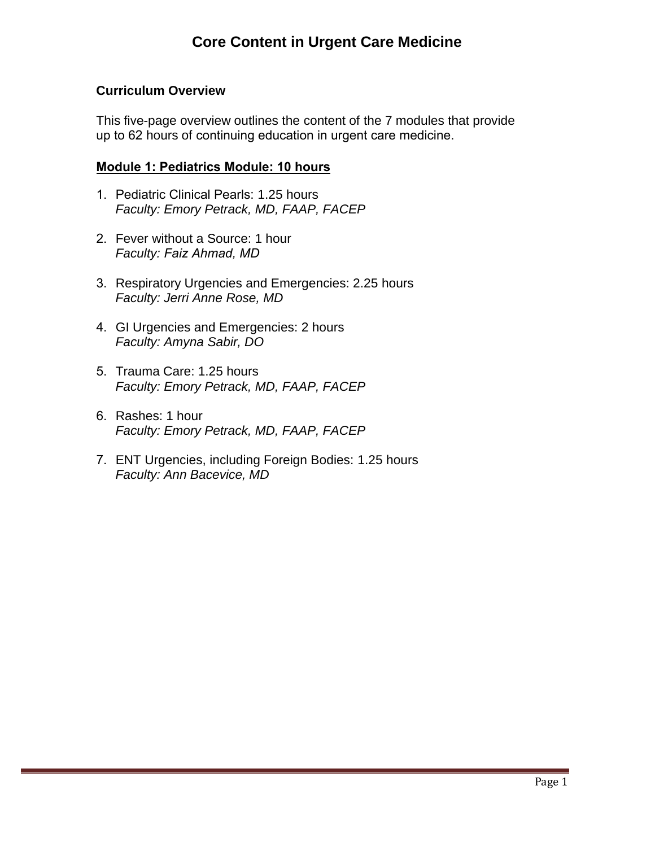### **Curriculum Overview**

This five-page overview outlines the content of the 7 modules that provide up to 62 hours of continuing education in urgent care medicine.

#### **Module 1: Pediatrics Module: 10 hours**

- 1. Pediatric Clinical Pearls: 1.25 hours *Faculty: Emory Petrack, MD, FAAP, FACEP*
- 2. Fever without a Source: 1 hour *Faculty: Faiz Ahmad, MD*
- 3. Respiratory Urgencies and Emergencies: 2.25 hours *Faculty: Jerri Anne Rose, MD*
- 4. GI Urgencies and Emergencies: 2 hours *Faculty: Amyna Sabir, DO*
- 5. Trauma Care: 1.25 hours *Faculty: Emory Petrack, MD, FAAP, FACEP*
- 6. Rashes: 1 hour *Faculty: Emory Petrack, MD, FAAP, FACEP*
- 7. ENT Urgencies, including Foreign Bodies: 1.25 hours *Faculty: Ann Bacevice, MD*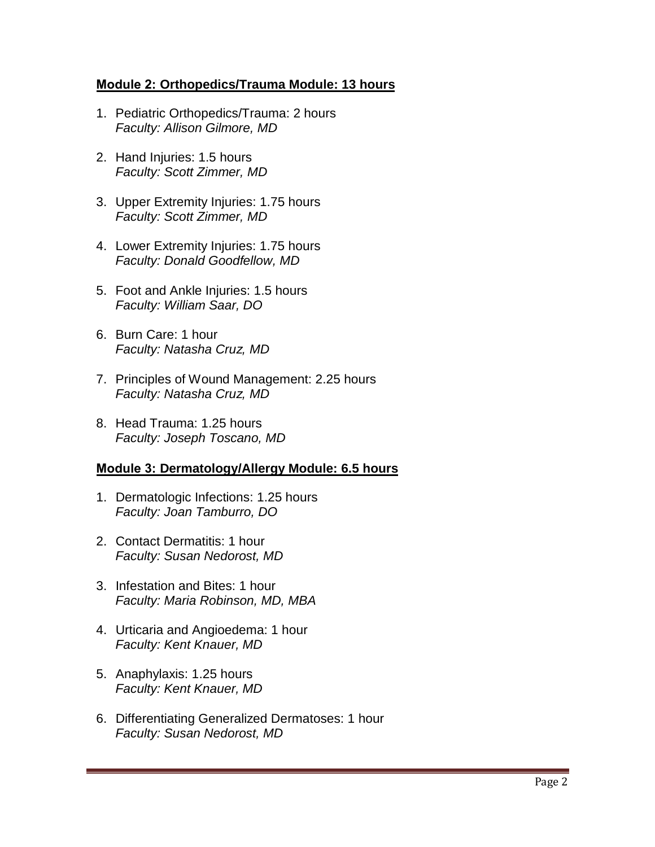### **Module 2: Orthopedics/Trauma Module: 13 hours**

- 1. Pediatric Orthopedics/Trauma: 2 hours *Faculty: Allison Gilmore, MD*
- 2. Hand Injuries: 1.5 hours *Faculty: Scott Zimmer, MD*
- 3. Upper Extremity Injuries: 1.75 hours *Faculty: Scott Zimmer, MD*
- 4. Lower Extremity Injuries: 1.75 hours *Faculty: Donald Goodfellow, MD*
- 5. Foot and Ankle Injuries: 1.5 hours *Faculty: William Saar, DO*
- 6. Burn Care: 1 hour *Faculty: Natasha Cruz, MD*
- 7. Principles of Wound Management: 2.25 hours *Faculty: Natasha Cruz, MD*
- 8. Head Trauma: 1.25 hours *Faculty: Joseph Toscano, MD*

### **Module 3: Dermatology/Allergy Module: 6.5 hours**

- 1. Dermatologic Infections: 1.25 hours *Faculty: Joan Tamburro, DO*
- 2. Contact Dermatitis: 1 hour *Faculty: Susan Nedorost, MD*
- 3. Infestation and Bites: 1 hour *Faculty: Maria Robinson, MD, MBA*
- 4. Urticaria and Angioedema: 1 hour *Faculty: Kent Knauer, MD*
- 5. Anaphylaxis: 1.25 hours *Faculty: Kent Knauer, MD*
- 6. Differentiating Generalized Dermatoses: 1 hour *Faculty: Susan Nedorost, MD*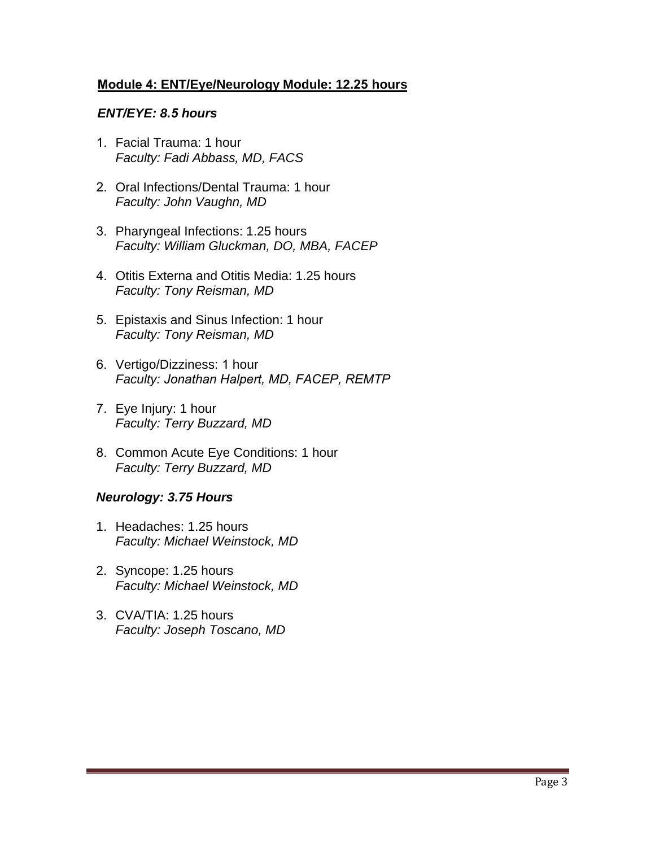### **Module 4: ENT/Eye/Neurology Module: 12.25 hours**

#### *ENT/EYE: 8.5 hours*

- 1. Facial Trauma: 1 hour *Faculty: Fadi Abbass, MD, FACS*
- 2. Oral Infections/Dental Trauma: 1 hour *Faculty: John Vaughn, MD*
- 3. Pharyngeal Infections: 1.25 hours *Faculty: William Gluckman, DO, MBA, FACEP*
- 4. Otitis Externa and Otitis Media: 1.25 hours *Faculty: Tony Reisman, MD*
- 5. Epistaxis and Sinus Infection: 1 hour *Faculty: Tony Reisman, MD*
- 6. Vertigo/Dizziness: 1 hour *Faculty: Jonathan Halpert, MD, FACEP, REMTP*
- 7. Eye Injury: 1 hour *Faculty: Terry Buzzard, MD*
- 8. Common Acute Eye Conditions: 1 hour *Faculty: Terry Buzzard, MD*

### *Neurology: 3.75 Hours*

- 1. Headaches: 1.25 hours *Faculty: Michael Weinstock, MD*
- 2. Syncope: 1.25 hours *Faculty: Michael Weinstock, MD*
- 3. CVA/TIA: 1.25 hours *Faculty: Joseph Toscano, MD*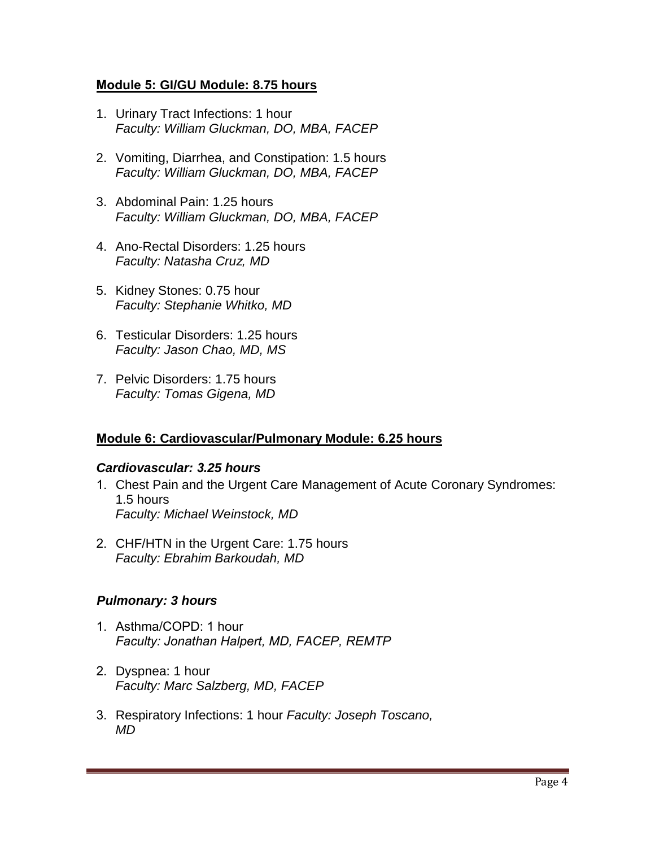### **Module 5: GI/GU Module: 8.75 hours**

- 1. Urinary Tract Infections: 1 hour *Faculty: William Gluckman, DO, MBA, FACEP*
- 2. Vomiting, Diarrhea, and Constipation: 1.5 hours *Faculty: William Gluckman, DO, MBA, FACEP*
- 3. Abdominal Pain: 1.25 hours *Faculty: William Gluckman, DO, MBA, FACEP*
- 4. Ano-Rectal Disorders: 1.25 hours *Faculty: Natasha Cruz, MD*
- 5. Kidney Stones: 0.75 hour *Faculty: Stephanie Whitko, MD*
- 6. Testicular Disorders: 1.25 hours *Faculty: Jason Chao, MD, MS*
- 7. Pelvic Disorders: 1.75 hours *Faculty: Tomas Gigena, MD*

# **Module 6: Cardiovascular/Pulmonary Module: 6.25 hours**

### *Cardiovascular: 3.25 hours*

- 1. Chest Pain and the Urgent Care Management of Acute Coronary Syndromes: 1.5 hours *Faculty: Michael Weinstock, MD*
- 2. CHF/HTN in the Urgent Care: 1.75 hours *Faculty: Ebrahim Barkoudah, MD*

# *Pulmonary: 3 hours*

- 1. Asthma/COPD: 1 hour *Faculty: Jonathan Halpert, MD, FACEP, REMTP*
- 2. Dyspnea: 1 hour *Faculty: Marc Salzberg, MD, FACEP*
- 3. Respiratory Infections: 1 hour *Faculty: Joseph Toscano, MD*